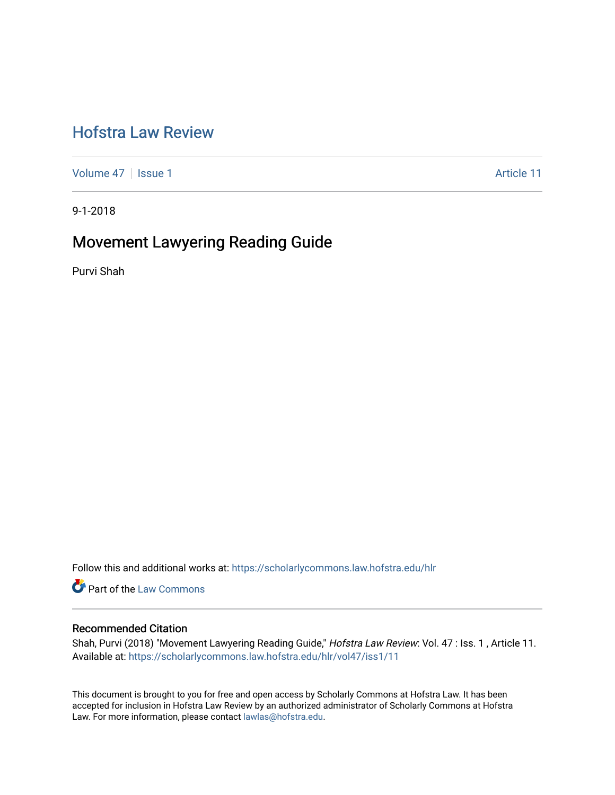# [Hofstra Law Review](https://scholarlycommons.law.hofstra.edu/hlr)

[Volume 47](https://scholarlycommons.law.hofstra.edu/hlr/vol47) | [Issue 1](https://scholarlycommons.law.hofstra.edu/hlr/vol47/iss1) Article 11

9-1-2018

# Movement Lawyering Reading Guide

Purvi Shah

Follow this and additional works at: [https://scholarlycommons.law.hofstra.edu/hlr](https://scholarlycommons.law.hofstra.edu/hlr?utm_source=scholarlycommons.law.hofstra.edu%2Fhlr%2Fvol47%2Fiss1%2F11&utm_medium=PDF&utm_campaign=PDFCoverPages)

**Part of the [Law Commons](http://network.bepress.com/hgg/discipline/578?utm_source=scholarlycommons.law.hofstra.edu%2Fhlr%2Fvol47%2Fiss1%2F11&utm_medium=PDF&utm_campaign=PDFCoverPages)** 

#### Recommended Citation

Shah, Purvi (2018) "Movement Lawyering Reading Guide," Hofstra Law Review: Vol. 47 : Iss. 1 , Article 11. Available at: [https://scholarlycommons.law.hofstra.edu/hlr/vol47/iss1/11](https://scholarlycommons.law.hofstra.edu/hlr/vol47/iss1/11?utm_source=scholarlycommons.law.hofstra.edu%2Fhlr%2Fvol47%2Fiss1%2F11&utm_medium=PDF&utm_campaign=PDFCoverPages) 

This document is brought to you for free and open access by Scholarly Commons at Hofstra Law. It has been accepted for inclusion in Hofstra Law Review by an authorized administrator of Scholarly Commons at Hofstra Law. For more information, please contact [lawlas@hofstra.edu.](mailto:lawlas@hofstra.edu)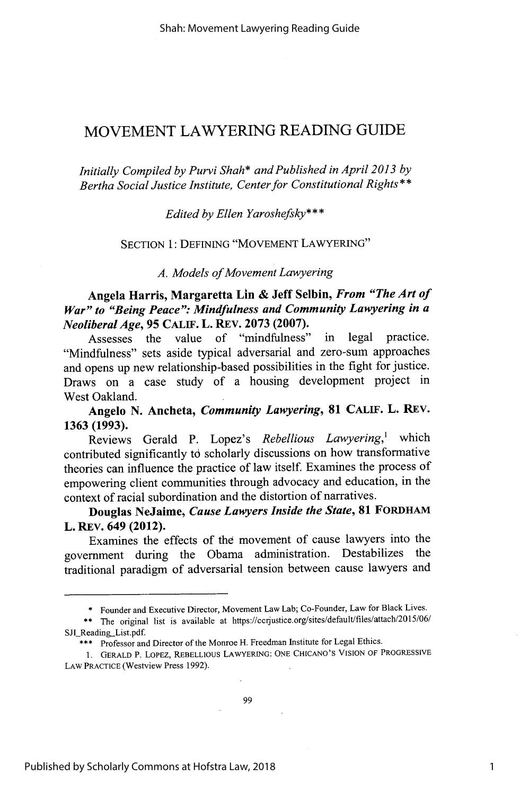Shah: Movement Lawyering Reading Guide

# MOVEMENT LAWYERING READING GUIDE

*Initially Compiled by Purvi Shah\* and Published in April 2013 by Bertha Social Justice Institute, Center for Constitutional Rights\*\**

*Edited by Ellen Yaroshefsky\* \** **\***

SECTION 1: DEFINING "MOVEMENT LAWYERING"

*A. Models of Movement Lawyering*

**Angela Harris, Margaretta Lin & Jeff Selbin,** *From "The Art of* War" to "Being Peace": Mindfulness and Community Lawyering in a *NeoliberalAge,* **95 CALIF. L. REV. 2073 (2007).**

Assesses the value of "mindfulness" in legal practice. "Mindfulness" sets aside typical adversarial and zero-sum approaches and opens up new relationship-based possibilities in the fight for justice. Draws on a case study of a housing development project in West Oakland.

**Angelo N. Ancheta,** *Community Lawyering,* **81 CALIF.** L. REV. 1363 **(1993).**

Reviews Gerald P. Lopez's *Rebellious Lawyering,<sup>1</sup>*which contributed significantly td scholarly discussions on how transformative theories can influence the practice of law itself. Examines the process of empowering client communities through advocacy and education, in the context of racial subordination and the distortion of narratives.

**Douglas** NeJaime, *Cause Lawyers Inside the State,* **81 FORDHAM** L. REV. **649 (2012).**

Examines the effects of the movement of cause lawyers into the government during the Obama administration. Destabilizes the traditional paradigm of adversarial tension between cause lawyers and

<sup>\*</sup> Founder and Executive Director, Movement Law Lab; Co-Founder, Law for Black Lives.

<sup>\*\*</sup> The original list is available at https://ccrjustice.org/sites/default/files/attach/2015/06 SJL Reading\_List.pdf.

<sup>\*\*\*</sup> Professor and Director of the Monroe H. Freedman Institute for Legal Ethics.

<sup>1.</sup> GERALD P. LOPEZ, REBELLIOUS LAWYERING: ONE CHICANO'S VISION OF PROGRESSIVE LAW PRACTICE (westview Press 1992).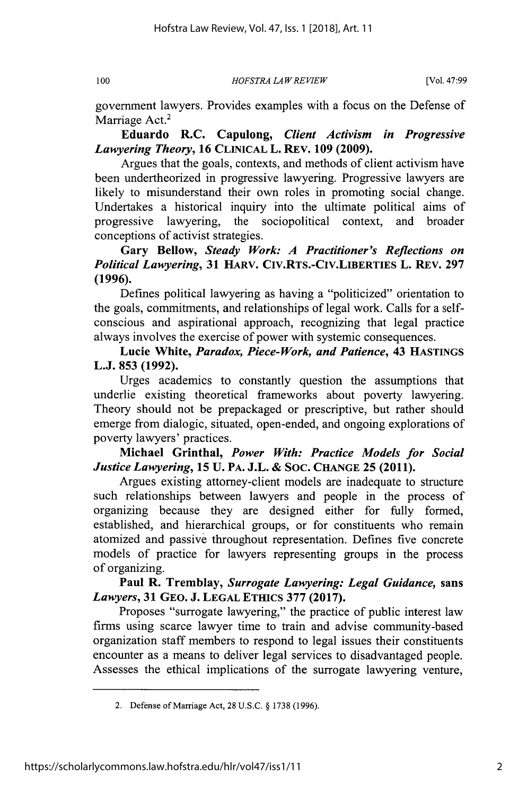*HOFSTRA LA WREVIEW*

government lawyers. Provides examples with a focus on the Defense of Marriage Act.<sup>2</sup>

Eduardo R.C. Capulong, *Client Activism in Progressive Lawyering Theory,* **16 CLINICAL** L. REv. **109 (2009).**

Argues that the goals, contexts, and methods of client activism have been undertheorized in progressive lawyering. Progressive lawyers are likely to misunderstand their own roles in promoting social change. Undertakes a historical inquiry into the ultimate political aims of progressive lawyering, the sociopolitical context, and broader conceptions of activist strategies.

**Gary Bellow,** *Steady Work: A Practitioner's Reflections on Political Lawyering,* **31 HARV. CIV.RTS.-CIV.LIBERTIES L. REV. 297 (1996).**

Defines political lawyering as having a "politicized" orientation to the goals, commitments, and relationships of legal work. Calls for a selfconscious and aspirational approach, recognizing that legal practice always involves the exercise of power with systemic consequences.

Lucie White, *Paradox, Piece-Work, and Patience,* 43 **HASTINGS L.J. 853 (1992).**

Urges academics to constantly question the assumptions that underlie existing theoretical frameworks about poverty lawyering. Theory should not be prepackaged or prescriptive, but rather should emerge from dialogic, situated, open-ended, and ongoing explorations of poverty lawyers' practices.

Michael Grinthal, *Power With: Practice Models for Social Justice Lawyering,* **15 U.** PA. **J.L.** & **SOC. CHANGE 25 (2011).**

Argues existing attorney-client models are inadequate to structure such relationships between lawyers and people in the process of organizing because they are designed either for fully formed, established, and hierarchical groups, or for constituents who remain atomized and passive throughout representation. Defines five concrete models of practice for lawyers representing groups in the process of organizing.

**Paul R. Tremblay,** *Surrogate Lawyering: Legal Guidance,* sans *Lawyers,* **31 GEO. J. LEGAL ETHICS 377 (2017).**

Proposes "surrogate lawyering," the practice of public interest law firms using scarce lawyer time to train and advise community-based organization staff members to respond to legal issues their constituents encounter as a means to deliver legal services to disadvantaged people. Assesses the ethical implications of the surrogate lawyering venture,

<sup>2.</sup> Defense of Marriage Act, 28 U.S.C. § 1738 (1996).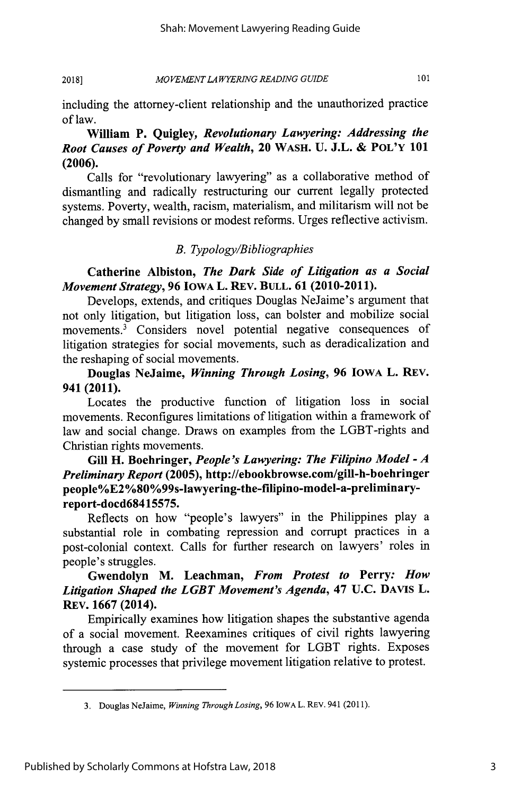#### *MOVEMENT LA WYERING READING GUIDE* **2018]**

101

including the attorney-client relationship and the unauthorized practice of law.

## **William P. Quigley,** *Revolutionary Lawyering: Addressing the Root Causes of Poverty and Wealth,* **20 WASH. U. J.L. & POL'Y 101 (2006).**

Calls for "revolutionary lawyering" as a collaborative method of dismantling and radically restructuring our current legally protected systems. Poverty, wealth, racism, materialism, and militarism will not be changed by small revisions or modest reforms. Urges reflective activism.

#### *B. Typology/Bibliographies*

**Catherine Albiston,** *The Dark Side of Litigation as a Social Movement Strategy,* **96 IOWA L. REV. BULL. 61 (2010-2011).**

Develops, extends, and critiques Douglas NeJaime's argument that not only litigation, but litigation loss, can bolster and mobilize social movements.<sup>3</sup> Considers novel potential negative consequences of litigation strategies for social movements, such as deradicalization and the reshaping of social movements.

**Douglas NeJaime,** *Winning Through Losing,* **96 IOWA** L. REV. **941 (2011).**

Locates the productive function of litigation loss in social movements. Reconfigures limitations of litigation within a framework of law and social change. Draws on examples from the LGBT-rights and Christian rights movements.

# **Gill H. Boehringer,** *People's Lawyering: The Filipino Model* **-** *A Preliminary Report* **(2005), http://ebookbrowse.com/gill-h-boehringer people%E2 %80%99s-lawyering-the-filipino-model-a-preliminaryreport-docd68415575.**

Reflects on how "people's lawyers" in the Philippines play a substantial role in combating repression and corrupt practices in a post-colonial context. Calls for further research on lawyers' roles in people's struggles.

# **Gwendolyn M. Leachman,** *From Protest to* Perry: *How Litigation Shaped the LGBT Movement's Agenda,* 47 **U.C.** DAVIS L. REV. **1667** (2014).

Empirically examines how litigation shapes the substantive agenda of a social movement. Reexamines critiques of civil rights lawyering through a case study of the movement for LGBT rights. Exposes systemic processes that privilege movement litigation relative to protest.

<sup>3.</sup> Douglas NeJaime, *Winning Through Losing,* 96 IOWA L. REV. 941 (2011).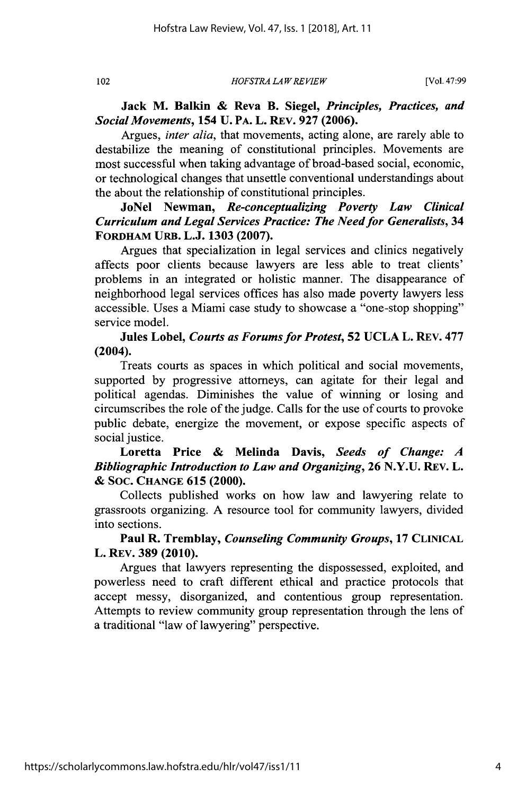*HOFS TRA LA W REVIEW*

**Jack M. Balkin & Reva B. Siegel,** *Principles, Practices, and Social Movements,* **154 U. PA. L. REv. 927 (2006).**

Argues, *inter alia,* that movements, acting alone, are rarely able to destabilize the meaning of constitutional principles. Movements are most successful when taking advantage of broad-based social, economic, or technological changes that unsettle conventional understandings about the about the relationship of constitutional principles.

**JoNel Newman,** *Re-conceptualizing Poverty Law Clinical Curriculum and Legal Services Practice: The Need for Generalists,* **34 FORDHAM URB. L.J. 1303 (2007).**

Argues that specialization in legal services and clinics negatively affects poor clients because lawyers are less able to treat clients' problems in an integrated or holistic manner. The disappearance of neighborhood legal services offices has also made poverty lawyers less accessible. Uses a Miami case study to showcase a "one-stop shopping" service model.

**Jules Lobel,** *Courts as Forums for Protest,* **52 UCLA** L. REv. **477 (2004).**

Treats courts as spaces in which political and social movements, supported **by** progressive attorneys, can agitate for their legal and political agendas. Diminishes the value of winning or losing and circumscribes the role of the judge. Calls for the use of courts to provoke public debate, energize the movement, or expose specific aspects of social justice.

**Loretta Price & Melinda Davis,** *Seeds of Change: A Bibliographic Introduction to Law and Organizing,* **26 N.Y.U. REV. L. & SOC. CHANGE 615 (2000).**

Collects published works on how law and lawyering relate to grassroots organizing. A resource tool for community lawyers, divided into sections.

#### **Paul** R. Tremblay, *Counseling Community Groups,* **17 CLIMCAL** L. REV. **389 (2010).**

Argues that lawyers representing the dispossessed, exploited, and powerless need to craft different ethical and practice protocols that accept messy, disorganized, and contentious group representation. Attempts to review community group representation through the lens of a traditional "law of lawyering" perspective.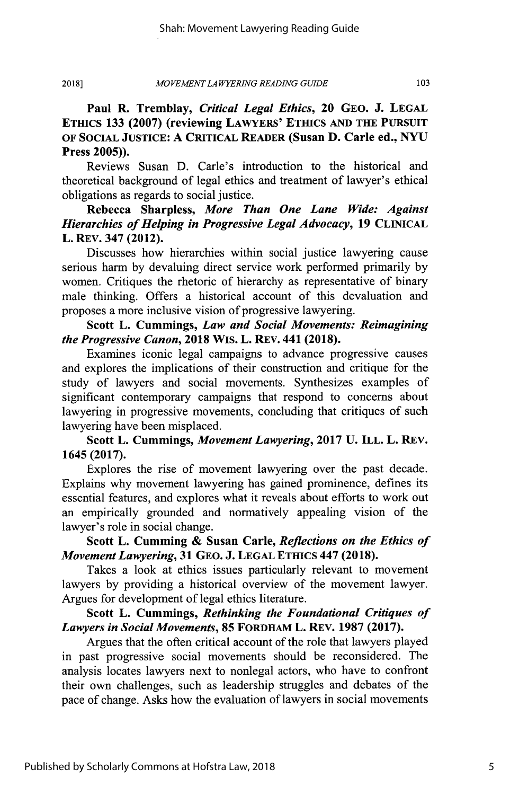#### *MOVEMENT LA WYERING READING GUIDE* **2018]**

**Paul R. Tremblay,** *Critical Legal Ethics,* **20 GEO. J. LEGAL ETHICS 133 (2007) (reviewing LAWYERS' ETHICS AND THE PURSUIT OF SOCIAL JUSTICE: A CRITICAL READER (Susan D. Carle ed., NYU Press 2005)).**

Reviews Susan **D.** Carle's introduction to the historical and theoretical background of legal ethics and treatment of lawyer's ethical obligations as regards to social justice.

**Rebecca Sharpless,** *More Than One Lane Wide: Against Hierarchies of Helping in Progressive Legal Advocacy,* **19 CLINICAL L. REv. 347 (2012).**

Discusses how hierarchies within social justice lawyering cause serious harm by devaluing direct service work performed primarily by women. Critiques the rhetoric of hierarchy as representative of binary male thinking. Offers a historical account of this devaluation and proposes a more inclusive vision of progressive lawyering.

#### Scott L. **Cummings,** *Law and Social Movements: Reimagining the Progressive Canon,* **2018** WIS. L. REv. 441 **(2018).**

Examines iconic legal campaigns to advance progressive causes and explores the implications of their construction and critique for the study of lawyers and social movements. Synthesizes examples of significant contemporary campaigns that respond to concerns about lawyering in progressive movements, concluding that critiques of such lawyering have been misplaced.

#### Scott L. **Cummings,** *Movement Lawyering,* **2017 U. ILL.** L. **REV.** 1645 **(2017).**

Explores the rise of movement lawyering over the past decade. Explains why movement lawyering has gained prominence, defines its essential features, and explores what it reveals about efforts to work out an empirically grounded and normatively appealing vision of the lawyer's role in social change.

# Scott L. **Cumming & Susan Carle,** *Reflections on the Ethics of Movement Lawyering,* **31 GEO. J. LEGAL ETHICS 447 (2018).**

Takes a look at ethics issues particularly relevant to movement lawyers by providing a historical overview of the movement lawyer. Argues for development of legal ethics literature.

#### Scott L. **Cummings,** *Rethinking the Foundational Critiques of Lawyers in Social Movements,* **85 FoRDHAM** L. REV. **1987 (2017).**

Argues that the often critical account of the role that lawyers played in past progressive social movements should be reconsidered. The analysis locates lawyers next to nonlegal actors, who have to confront their own challenges, such as leadership struggles and debates of the pace of change. Asks how the evaluation of lawyers in social movements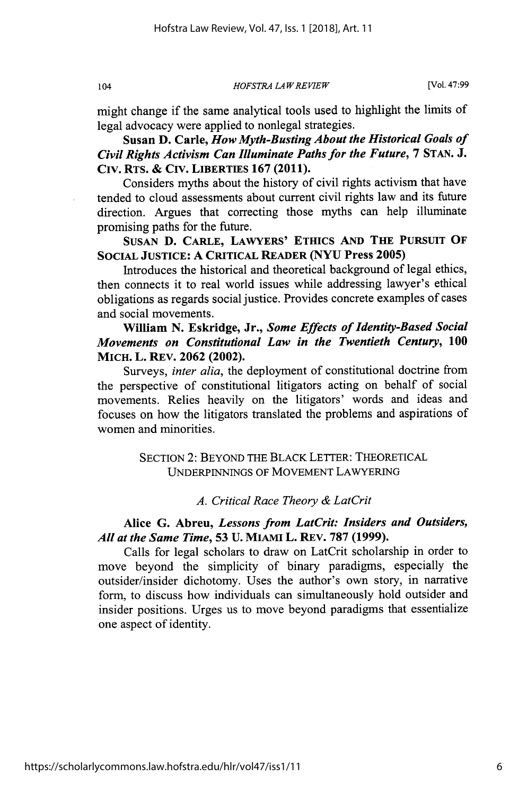*HOFSTRA LA W REVIEW*

might change if the same analytical tools used to highlight the limits of legal advocacy were applied to nonlegal strategies.

**Susan D. Carle,** *How Myth-Busting About the Historical Goals of Civil Rights Activism Can Illuminate Paths for the Future,* 7 **STAN. J. Civ. RTS. & CIV. LIBERTIES 167 (2011).**

Considers myths about the history of civil rights activism that have tended to cloud assessments about current civil rights law and its future direction. Argues that correcting those myths can help illuminate promising paths for the future.

**SUSAN D. CARLE, LAWYERS' ETHICS AND THE PURSUIT OF SOCIAL JUSTICE: A CRITICAL READER (NYU Press 2005)**

Introduces the historical and theoretical background of legal ethics, then connects it to real world issues while addressing lawyer's ethical obligations as regards social justice. Provides concrete examples of cases and social movements.

#### William **N.** Eskridge, Jr., *Some Effects of Identity-Based Social Movements on Constitutional Law in the Twentieth Century,* **100 MICH. L. REv. 2062 (2002).**

Surveys, *inter alia,* the deployment of constitutional doctrine from the perspective of constitutional litigators acting on behalf of social movements. Relies heavily on the litigators' words and ideas and focuses on how the litigators translated the problems and aspirations of women and minorities.

> SECTION 2: BEYOND THE BLACK LETTER: THEORETICAL UNDERPINNINGS OF MOVEMENT LAWYERING

> > *A. Critical Race Theory & LatCrit*

#### **Alice G. Abreu,** *Lessons from LatCrit: Insiders and Outsiders, All at the Same Time,* **53 U. MIAMI L. REv. 787 (1999).**

Calls for legal scholars **to** draw **on LatCrit scholarship in order to** move beyond the simplicity of binary paradigms, especially the outsider/insider dichotomy. Uses the author's own story, in narrative form, to discuss how individuals can simultaneously hold outsider and insider positions. Urges us to move beyond paradigms that essentialize one aspect of identity.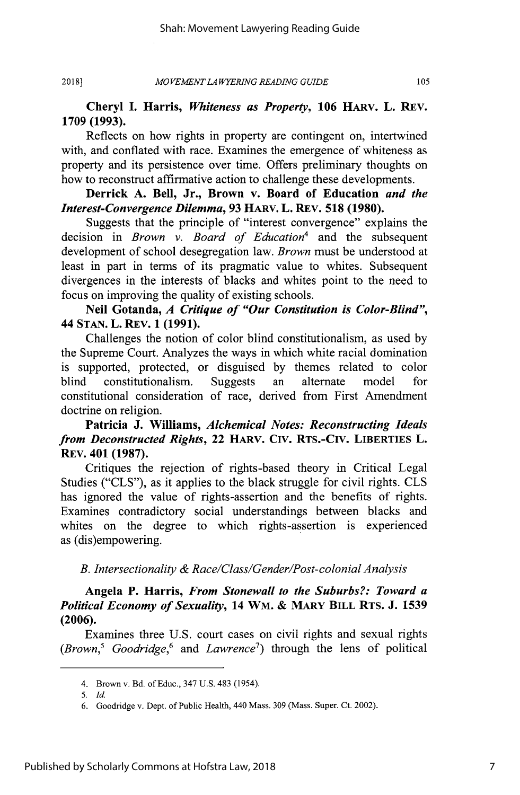*MO VEMENT LA WYERING READING GUIDE* **2018]**

#### **Cheryl I. Harris,** *Whiteness as Property,* **106 HARV. L. REV. 1709 (1993).**

Reflects on how rights in property are contingent on, intertwined with, and conflated with race. Examines the emergence of whiteness as property and its persistence over time. Offers preliminary thoughts on how to reconstruct affirmative action to challenge these developments.

#### **Derrick A.** Bell, **Jr., Brown** v. **Board of Education** *and the Interest-Convergence Dilemma,* **93 HARv.** L. REv. **518 (1980).**

Suggests that the principle of "interest convergence" explains the decision in *Brown v. Board of Education'* and the subsequent development of school desegregation law. *Brown* must be understood at least in part in terms of its pragmatic value to whites. Subsequent divergences in the interests of blacks and whites point to the need to focus on improving the quality of existing schools.

#### Neil **Gotanda,** *A Critique of "Our Constitution is Color-Blind",* 44 **STAN.** L. **REv. 1 (1991).**

Challenges the notion of color blind constitutionalism, as used **by** the Supreme Court. Analyzes the ways in which white racial domination is supported, protected, or disguised **by** themes related to color blind constitutionalism. Suggests an alternate model for constitutional consideration of race, derived from First Amendment doctrine on religion.

### **Patricia J. Williams,** *Alchemical Notes: Reconstructing Ideals from Deconstructed Rights,* 22 **HARV. CIV. RTS.-CIV. LIBERTIES L. REv. 401 (1987).**

Critiques the rejection of rights-based theory in Critical Legal Studies **("CLS"),** as it applies to the black struggle for civil rights. **CLS** has ignored the value of rights-assertion and the benefits of rights. Examines contradictory social understandings between blacks and whites on the degree to which rights-assertion is experienced as (dis)empowering.

#### *B. Intersectionality & Race/Class/Gender/Post-colonial Analysis*

#### **Angela P. Harris,** *From Stonewall to the Suburbs?: Toward a Political Economy of Sexuality,* **14 WM. & MARY BILL RTS. J. 1539 (2006).**

Examines three **U.S.** court cases on civil rights and sexual rights *(Brown,5 Goodridge,6* and *Lawrence<sup>7</sup> )* through the lens of political

<sup>4.</sup> Brown v. Bd. of Educ., 347 **U.S.** 483 (1954).

*<sup>5.</sup> Id.*

**<sup>6.</sup>** Goodridge v. Dept. of Public Health, 440 Mass. **309** (Mass. Super. Ct. 2002).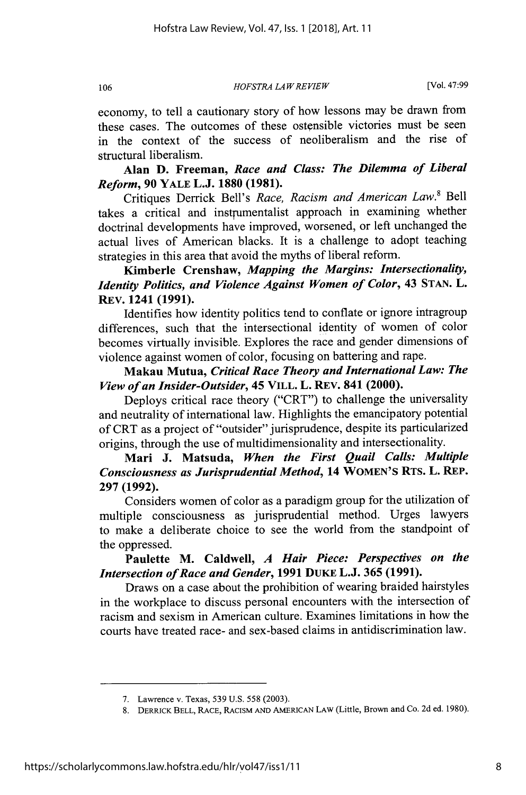*HOFSTRA LA W REVIEW*

economy, to tell a cautionary story of how lessons may be drawn from these cases. The outcomes of these ostensible victories must be seen in the context of the success of neoliberalism and the rise of structural liberalism.

# **Alan D. Freeman,** *Race and Class: The Dilemma of Liberal Reform,* **90** YALE **L.J. 1880 (1981).**

Critiques Derrick Bell's *Race, Racism and American Law.<sup>8</sup>*Bell takes a critical and instrumentalist approach in examining whether doctrinal developments have improved, worsened, or left unchanged the actual lives of American blacks. It is a challenge to adopt teaching strategies in this area that avoid the myths of liberal reform.

Kimberle Crenshaw, *Mapping the Margins: Intersectionality, Identity Politics, and Violence Against Women of Color, 43 STAN. L.* REv. 1241 **(1991).**

Identifies how identity politics tend to conflate or ignore intragroup differences, such that the intersectional identity of women of color becomes virtually invisible. Explores the race and gender dimensions of violence against women of color, focusing on battering and rape.

### **Makau Mutua,** *Critical Race Theory and International Law: The View of an Insider-Outsider,* **45 VILL. L. REv. 841 (2000).**

Deploys critical race theory ("CRT") to challenge the universality and neutrality of international law. Highlights the emancipatory potential of CRT as a project of "outsider" jurisprudence, despite its particularized origins, through the use of multidimensionality and intersectionality.

# **Mari J. Matsuda,** *When the First Quail Calls: Multiple Consciousness as Jurisprudential Method,* **14 WOMEN'S RTS. L. REP. 297 (1992).**

Considers women of color as a paradigm group for the utilization of multiple consciousness as jurisprudential method. Urges lawyers to make a deliberate choice to see the world from the standpoint of the oppressed.

## Paulette **M.** Caldwell, *A Hair Piece: Perspectives on the Intersection of Race and Gender,* **1991 DuKE L.J. 365 (1991).**

Draws on a case about the prohibition of wearing braided hairstyles in the workplace to discuss personal encounters with the intersection of racism and sexism in American culture. Examines limitations in how the courts have treated race- and sex-based claims in antidiscrimination law.

**<sup>7.</sup>** Lawrence v. Texas, **539 U.S. 558 (2003).**

<sup>8.</sup> DERRICK BELL, RACE, RACISM AND AMERICAN **LAW** (Little, Brown and Co. 2d ed. 1980).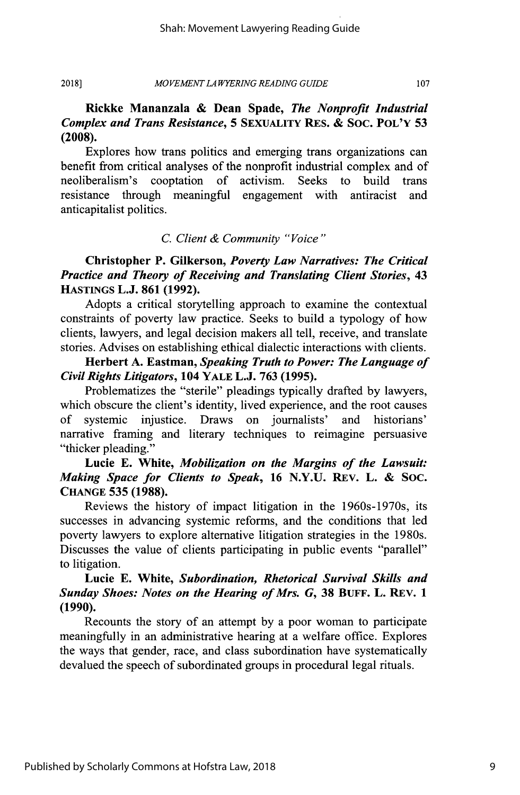**Rickke Mananzala & Dean Spade,** *The Nonprofit Industrial Complex and Trans Resistance,* **5 SEXUALITY RES. & SOC. POL'Y 53 (2008).**

Explores how trans politics and emerging trans organizations can benefit from critical analyses of the nonprofit industrial complex and of neoliberalism's cooptation of activism. Seeks to build trans resistance through meaningful engagement with antiracist and anticapitalist politics.

#### *C. Client & Community "Voice"*

**Christopher P. Gilkerson,** *Poverty Law Narratives: The Critical Practice and Theory of Receiving and Translating Client Stories,* **43 HASTINGS L.J. 861 (1992).**

Adopts a critical storytelling approach to examine the contextual constraints of poverty law practice. Seeks to build a typology of how clients, lawyers, and legal decision makers all tell, receive, and translate stories. Advises on establishing ethical dialectic interactions with clients.

**Herbert A. Eastman,** *Speaking Truth to Power: The Language of Civil Rights Litigators,* **104 YALE L.J. 763 (1995).**

Problematizes the "sterile" pleadings typically drafted by lawyers, which obscure the client's identity, lived experience, and the root causes of systemic injustice. Draws on journalists' and historians' narrative framing and literary techniques to reimagine persuasive "thicker pleading."

#### Lucie E. White, *Mobilization on the Margins of the Lawsuit: Making Space for Clients to Speak,* **16** N.Y.U. REV. L. & SOC. **CHANGE 535 (1988).**

Reviews the history of impact litigation in the 1960s-1970s, its successes in advancing systemic reforms, and the conditions that led poverty lawyers to explore alternative litigation strategies in the 1980s. Discusses the value of clients participating in public events "parallel" to litigation.

#### **Lucie E. White,** *Subordination, Rhetorical Survival Skills and Sunday Shoes: Notes on the Hearing of Mrs. G,* **38 BUFF.** L. **REV. 1 (1990).**

Recounts the story of an attempt by a poor woman to participate meaningfully in an administrative hearing at a welfare office. Explores the ways that gender, race, and class subordination have systematically devalued the speech of subordinated groups in procedural legal rituals.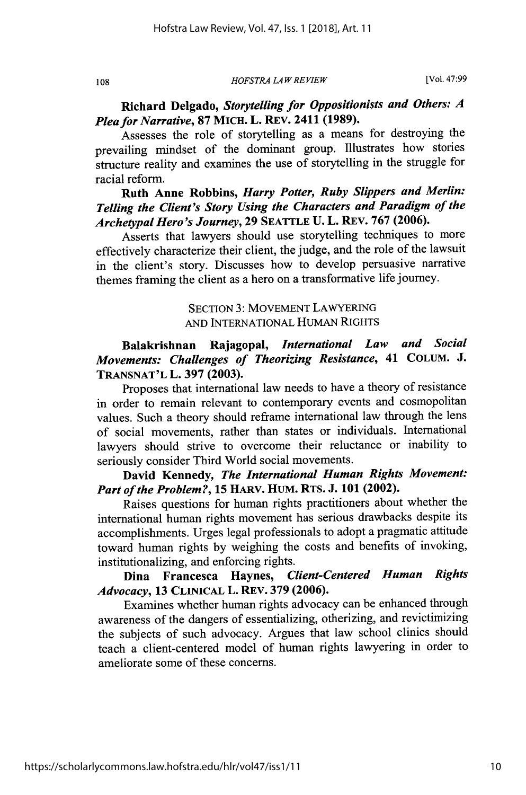*HOFSTRA LA W REVIEW*

# **Richard Delgado,** *Storytelling for Oppositionists and Others: A Plea for Narrative,* **87 MICH. L. REv. 2411 (1989).**

Assesses the role of storytelling as a means for destroying the prevailing mindset of the dominant group. Illustrates how stories structure reality and examines the use of storytelling in the struggle for racial reform.

# **Ruth Anne Robbins,** *Harry Potter, Ruby Slippers and Merlin: Telling the Client's Story Using the Characters and Paradigm of the Archetypal Hero's Journey,* **29 SEATTLE U. L.** REV. **767 (2006).**

Asserts that lawyers should use storytelling techniques to more effectively characterize their client, the judge, and the role of the lawsuit in the client's story. Discusses how to develop persuasive narrative themes framing the client as a hero on a transformative life journey.

#### SECTION 3: MOVEMENT LAWYERING AND INTERNATIONAL HUMAN RIGHTS

# **Balakrishnan Rajagopal,** *International Law and Social Movements: Challenges of Theorizing Resistance,* **41 COLUM. J. TRANSNAT'L L. 397 (2003).**

Proposes that international law needs to have a theory of resistance in order to remain relevant to contemporary events and cosmopolitan values. Such a theory should reframe international law through the lens of social movements, rather than states or individuals. International lawyers should strive to overcome their reluctance or inability to seriously consider Third World social movements.

# **David Kennedy,** *The International Human Rights Movement: Part of the Problem?,* **15 HARV. HUM. RTS. J. 101 (2002).**

Raises questions for human rights practitioners about whether the international human rights movement has serious drawbacks despite its accomplishments. Urges legal professionals to adopt a pragmatic attitude toward human rights by weighing the costs and benefits of invoking, institutionalizing, and enforcing rights.

# **Dina Francesca Haynes,** *Client-Centered Human Rights Advocacy,* **13** CLINICAL L. REv. **379 (2006).**

Examines whether human rights advocacy can be enhanced through awareness of the dangers of essentializing, otherizing, and revictimizing the subjects of such advocacy. Argues that law school clinics should teach a client-centered model of human rights lawyering in order to ameliorate some of these concerns.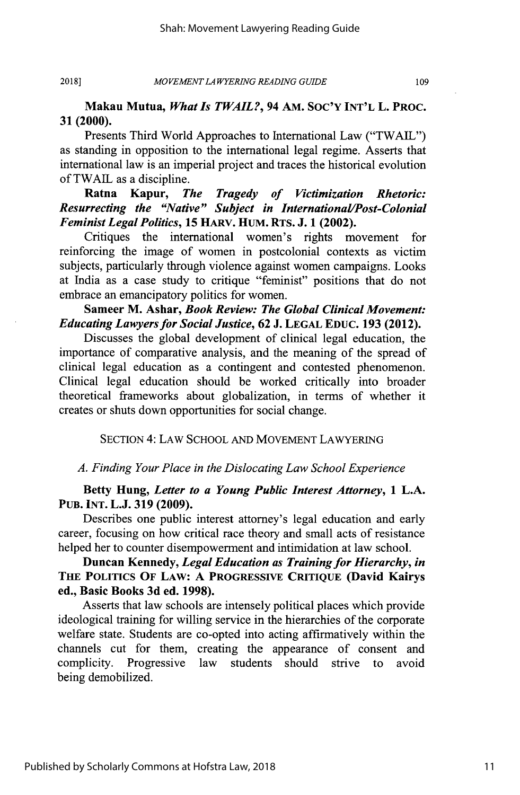109

#### **Makau Mutua,** *What Is TWAIL?,* **94 AM. SOC'Y INT'L L. PROC. 31 (2000).**

Presents Third World Approaches to International Law ("TWAIL") as standing in opposition to the international legal regime. Asserts that international law is an imperial project and traces the historical evolution of TWAIL as a discipline.

# **Ratna Kapur,** *The Tragedy of Victimization Rhetoric: Resurrecting the "Native" Subject in International/Post-Colonial Feminist Legal Politics,* **15 HARV. HUM. RTS. J. 1 (2002).**

Critiques the international women's rights movement for reinforcing the image of women in postcolonial contexts as victim subjects, particularly through violence against women campaigns. Looks at India as a case study to critique "feminist" positions that do not embrace an emancipatory politics for women.

#### Sameer M. **Ashar,** *Book Review: The Global Clinical Movement: Educating Lawyers for Social Justice,* **62 J. LEGAL EDUC. 193** (2012).

Discusses the global development of clinical legal education, the importance of comparative analysis, and the meaning of the spread of clinical legal education as a contingent and contested phenomenon. Clinical legal education should be worked critically into broader theoretical frameworks about globalization, in terms of whether it creates or shuts down opportunities for social change.

SECTION **4:** LAW **SCHOOL AND** MOVEMENT LAWYERING

#### *A. Finding Your Place in the Dislocating Law School Experience*

#### **Betty Hung,** *Letter to a Young Public Interest Attorney,* **1 L.A. PUB. INT. L.J. 319 (2009).**

Describes one public interest attorney's legal education and early career, focusing on how critical race theory and small acts of resistance helped her to counter disempowerment and intimidation at law school.

# **Duncan Kennedy,** *Legal Education as Training for Hierarchy, in* **THE POLITICS OF LAW: A PROGRESSIVE CRITIQUE (David Kairys ed., Basic Books 3d ed. 1998).**

Asserts that law schools are intensely political places which provide ideological training for willing service in the hierarchies of the corporate welfare state. Students are co-opted into acting affirmatively within the channels cut for them, creating the appearance of consent and complicity. Progressive law students should strive to avoid being demobilized.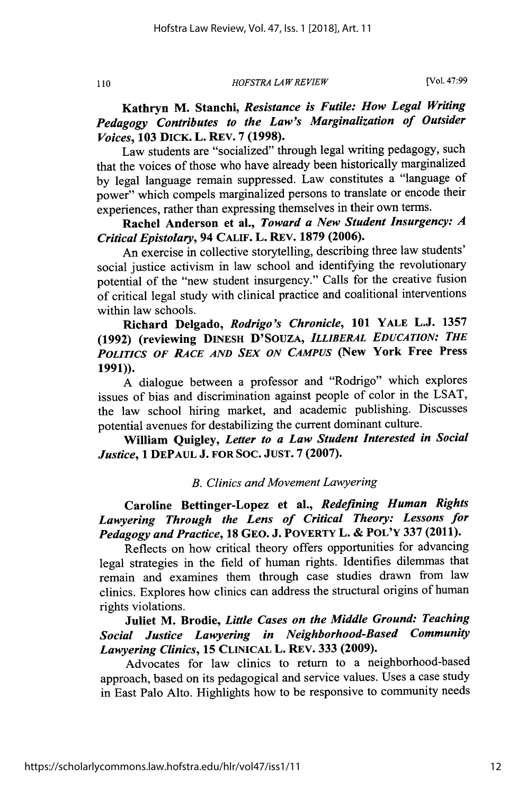*HOFSTRA LAW REVIEW*

**Kathryn M. Stanchi,** *Resistance is Futile: How Legal Writing Pedagogy Contributes to the Law's Marginalization of Outsider Voices,* **103 DICK. L. REV. 7 (1998).**

Law students are "socialized" through legal writing pedagogy, such that the voices of those who have already been historically marginalized by legal language remain suppressed. Law constitutes a "language of power" which compels marginalized persons to translate or encode their experiences, rather than expressing themselves in their own terms.

**Rachel Anderson et** al., *Toward a New Student Insurgency: A Critical Epistolary,* 94 CALIF. L. REV. **1879 (2006).**

An exercise in collective storytelling, describing three law students' social justice activism in law school and identifying the revolutionary potential of the "new student insurgency." Calls for the creative fusion of critical legal study with clinical practice and coalitional interventions within law schools.

Richard Delgado, *Rodrigo's Chronicle,* **101 YALE L.J.** 1357 **(1992)** (reviewing **DINESH D'SOUZA,** *ILLIBERAL EDUCATION: THE POLITICS OF RACE AND SEX ON CAMPUS* **(New York Free Press 1991)).**

A dialogue between a professor and "Rodrigo" which explores issues of bias and discrimination against people of color in the LSAT, the law school hiring market, and academic publishing. Discusses potential avenues for destabilizing the current dominant culture.

**William** Quigley, *Letter to a Law Student Interested in Social Justice,* **1 DEPAUL J. FOR SOC. JUST. 7 (2007).**

*B. Clinics and Movement Lawyering*

**Caroline Bettinger-Lopez et al.,** *Redefining Human Rights Lawyering Through the Lens of Critical Theory: Lessons for Pedagogy and Practice,* **18 GEO. J.** POVERTY **L. & POL'Y 337 (2011).**

Reflects on how critical theory offers opportunities for advancing legal strategies in the field of human rights. Identifies dilemmas that remain and examines them through case studies drawn from law clinics. Explores how clinics can address the structural origins of human rights violations.

**Juliet** M. Brodie, *Little Cases on the Middle Ground: Teaching Social Justice Lawyering in Neighborhood-Based Community Lawyering Clinics,* **15 CLINICAL L.** REV. **333 (2009).**

Advocates for law clinics to return to a neighborhood-based approach, based on its pedagogical and service values. Uses a case study in East Palo Alto. Highlights how to be responsive to community needs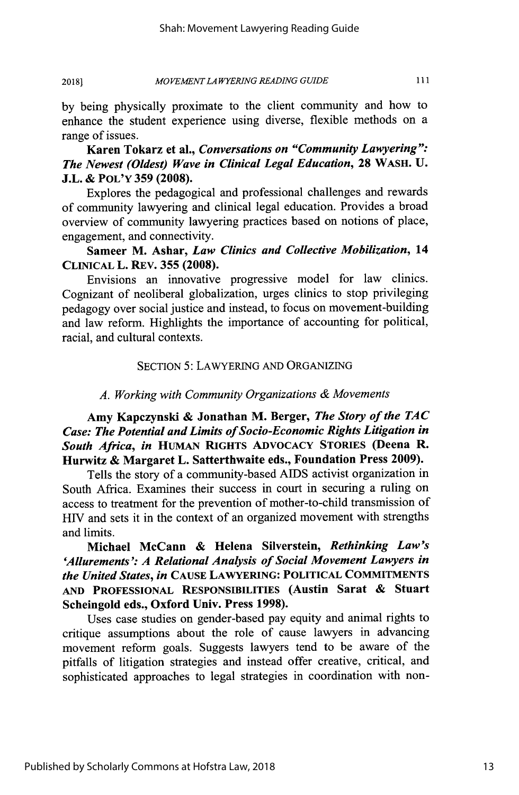#### *MOVEMENT LA WYERING READING GUIDE* **2018)**

by being physically proximate to the client community and how to enhance the student experience using diverse, flexible methods on a range of issues.

**Karen Tokarz et** al., *Conversations on "Community Lawyering": The Newest (Oldest) Wave in Clinical Legal Education,* **28** WASH. **U. J.L. & POL'Y 359 (2008).**

Explores the pedagogical and professional challenges and rewards of community lawyering and clinical legal education. Provides a broad overview of community lawyering practices based on notions of place, engagement, and connectivity.

**Sameer M. Ashar,** *Law Clinics and Collective Mobilization, 14* **CLINICAL L. REV. 355 (2008).**

Envisions an innovative progressive model for law clinics. Cognizant of neoliberal globalization, urges clinics to stop privileging pedagogy over social justice and instead, to focus on movement-building and law reform. Highlights the importance of accounting for political, racial, and cultural contexts.

#### SECTION 5: LAWYERING AND ORGANIZING

# *A. Working with Community Organizations & Movements*

Amy Kapczynski **&** Jonathan M. Berger, *The Story of the TAC Case: The Potential and Limits of Socio-Economic Rights Litigation in South Africa, in* **HUMAN RIGHTS ADVOCACY STORIES (Deena R. Hurwitz & Margaret L. Satterthwaite eds., Foundation Press 2009).**

**Tells the story of a** community-based **AIDS** activist organization in South Africa. Examines their success in court in securing **a ruling on** access to treatment for the prevention of mother-to-child transmission of **HIV** and sets it in the context of an organized movement with strengths and limits.

**Michael McCann & Helena Silverstein,** *Rethinking Law's 'Allurements': A Relational Analysis of Social Movement Lawyers in the United States, in* **CAUSE LAWYERING: POLITICAL COMMITMENTS AND PROFESSIONAL RESPONSIBILITIES (Austin Sarat & Stuart Scheingold eds., Oxford Univ. Press 1998).**

Uses case studies on gender-based pay equity and animal **rights to** critique assumptions about the role of cause lawyers in advancing movement reform goals. Suggests lawyers tend to be aware of the pitfalls of litigation strategies and instead offer creative, critical, and sophisticated approaches to legal strategies in coordination with non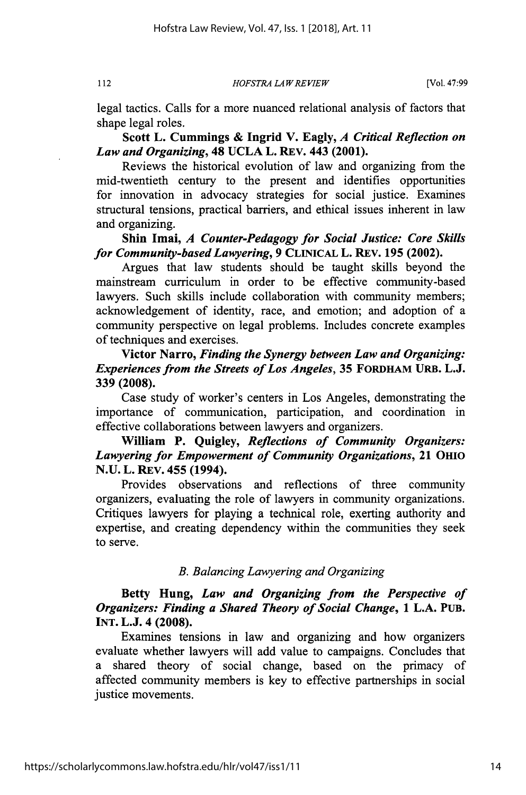*HOFSTRA LAW REVIEW*

legal tactics. Calls for a more nuanced relational analysis of factors that shape legal roles.

Scott L. Cummings **&** Ingrid V. Eagly, *A Critical Reflection on Law and Organizing,* 48 **UCLA** L. REV. 443 (2001).

Reviews the historical evolution of law and organizing from the mid-twentieth century to the present and identifies opportunities for innovation in advocacy strategies for social justice. Examines structural tensions, practical barriers, and ethical issues inherent in law and organizing.

**Shin Imai,** *A Counter-Pedagogy for Social Justice: Core Skills for Community-basedLawyering,* 9 CLINICAL L. REV. 195 (2002).

Argues that law students should be taught skills beyond the mainstream curriculum in order to be effective community-based lawyers. Such skills include collaboration with community members; acknowledgement of identity, race, and emotion; and adoption of a community perspective on legal problems. Includes concrete examples of techniques and exercises.

Victor Narro, *Finding the Synergy between Law and Organizing: Experiences from the Streets of Los Angeles,* **35 FORDHAM URB. L.J. 339 (2008).**

Case study of worker's centers in Los Angeles, demonstrating the importance of communication, participation, and coordination in effective collaborations between lawyers and organizers.

**William** P. Quigley, *Reflections of Community Organizers: Lawyering for Empowerment of Community Organizations,* 21 OHIO **N.U.** L. REv. 455 (1994).

Provides observations and reflections of three community organizers, evaluating the role of lawyers in community organizations. Critiques lawyers for playing a technical role, exerting authority and expertise, and creating dependency within the communities they seek to serve.

#### *B. Balancing Lawyering and Organizing*

Betty Hung, *Law and Organizing from the Perspective of Organizers: Finding a Shared Theory of Social Change,* **1 L.A. PUB. INT. L.J. 4 (2008).**

Examines tensions in law and organizing and how organizers evaluate whether lawyers will add value to campaigns. Concludes that a shared theory of social change, based on the primacy of affected community members is key to effective partnerships in social justice movements.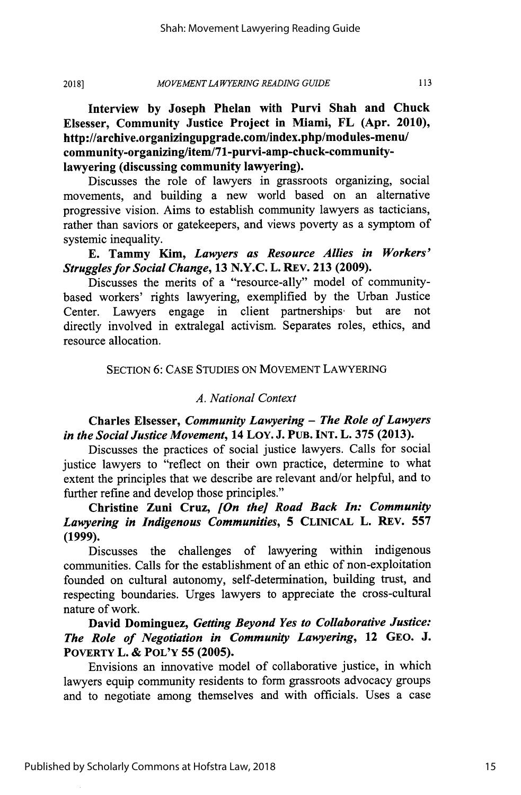**Interview by Joseph Phelan with Purvi Shah and Chuck Elsesser, Community Justice Project in Miami, FL (Apr. 2010), http://archive.organizingupgrade.com/index.php/modules-menu/ community-organizing/item/71-purvi-amp-chuck-communitylawyering (discussing community lawyering).**

Discusses the role of lawyers in grassroots organizing, social movements, and building a new world based on an alternative progressive vision. Aims to establish community lawyers as tacticians, rather than saviors or gatekeepers, and views poverty as a symptom of systemic inequality.

**E. Tammy** Kim, *Lawyers as Resource Allies in Workers' Struggles for Social Change,* **13 N.Y.C.** L. REV. **213 (2009).**

Discusses the merits of a "resource-ally" model of communitybased workers' rights lawyering, exemplified **by** the Urban Justice Center. Lawyers engage in client partnerships but are directly involved in extralegal activism. Separates roles, ethics, and resource allocation.

#### SECTION 6: CASE STUDIES ON MOVEMENT LAWYERING

#### *A. National Context*

**Charles Elsesser,** *Community Lawyering* - *The Role of Lawyers in the Social Justice Movement,* **14 LoY. J. PUB. INT. L. 375 (2013).**

Discusses the practices of social justice lawyers. Calls for social justice lawyers to "reflect on their own practice, determine to what extent the principles that we describe are relevant and/or helpful, and to further refine and develop those principles."

Christine **Zuni** Cruz, *[On the] Road Back In: Community Lawyering in Indigenous Communities,* **5 CLINICAL** L. REV. **557 (1999).**

Discusses the challenges of lawyering within indigenous communities. Calls for the establishment of an ethic of non-exploitation founded on cultural autonomy, self-determination, building trust, and respecting boundaries. Urges lawyers to appreciate the cross-cultural nature of work.

**David** Dominguez, *Getting Beyond Yes to Collaborative Justice: The Role of Negotiation in Community Lawyering,* 12 **GEO. J. POVERTY L. & POL'Y 55 (2005).**

Envisions an innovative model of collaborative justice, in which lawyers equip community residents to form grassroots advocacy groups and to negotiate among themselves and with officials. Uses a case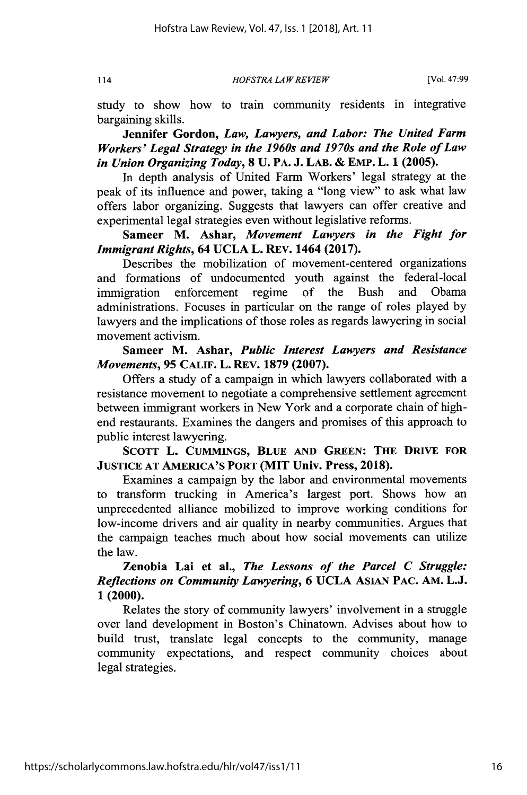*HOFSTRA LA W REVIEW* 114 [Vol. **47:99**

study to show how to train community residents in integrative bargaining skills.

**Jennifer Gordon,** *Law, Lawyers, and Labor: The United Farm Workers' Legal Strategy in the 1960s and 1970s and the Role of Law in Union Organizing Today,* **8 U.** PA. **J.** LAB. **&** EMP. L. **1 (2005).**

In depth analysis of United Farm Workers' legal strategy at the peak of its influence and power, taking a "long view" to ask what law offers labor organizing. Suggests that lawyers can offer creative and experimental legal strategies even without legislative reforms.

**Sameer M. Ashar,** *Movement Lawyers in the Fight for Immigrant Rights,* 64 **UCLA** L. REV. 1464 **(2017).**

Describes the mobilization of movement-centered organizations and formations of undocumented youth against the federal-local immigration enforcement regime of the Bush and Obama administrations. Focuses in particular on the range of roles played by lawyers and the implications of those roles as regards lawyering in social movement activism.

**Sameer M. Ashar,** *Public Interest Lawyers and Resistance Movements,* **95 CALIF. L. REv. 1879 (2007).**

Offers a study of a campaign in which lawyers collaborated with a resistance movement to negotiate a comprehensive settlement agreement between immigrant workers in New York and a corporate chain of highend restaurants. Examines the dangers and promises of this approach to public interest lawyering.

SCOTT L. CUMMINGS, BLUE AND GREEN: THE DRIVE FOR **JUSTICE AT AMERICA'S PORT (MIT Univ. Press, 2018).**

Examines a campaign **by** the labor and environmental movements to transform trucking in America's largest port. Shows how an unprecedented alliance mobilized to improve working conditions for low-income drivers and air quality in nearby communities. Argues that the campaign teaches much about how social movements can utilize the law.

**Zenobia Lai et al.,** *The Lessons of the Parcel C Struggle: Reflections on Community Lawyering,* **6 UCLA ASIAN PAC. AM. L.J. 1 (2000).**

Relates the story of community lawyers' involvement in a struggle over land development in Boston's Chinatown. Advises about how to build trust, translate legal concepts to the community, manage community expectations, and respect community choices about legal strategies.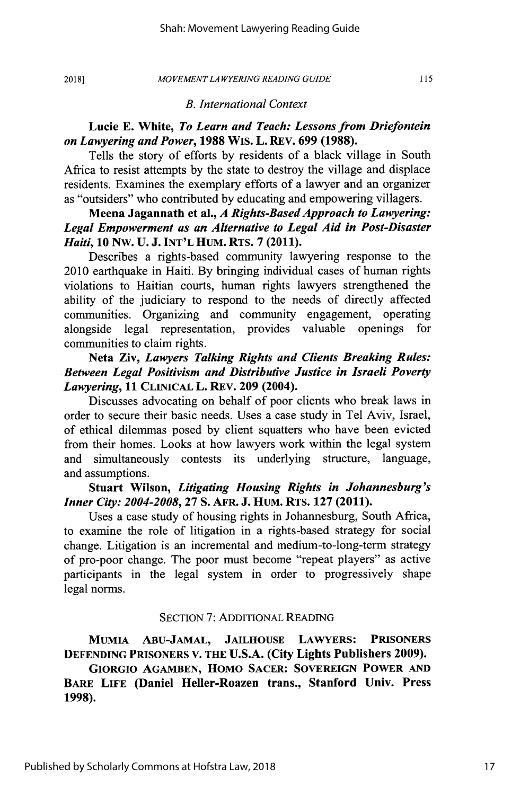#### *MOVEMENT LA WYER[NG READING GUIDE*

115

#### *B. International Context*

#### **Lucie E. White,** *To Learn and Teach: Lessons from Driefontein on Lawyering and Power,* **1988** WiS. L. REV. **699 (1988).**

Tells the story of efforts by residents of a black village in South Africa to resist attempts by the state to destroy the village and displace residents. Examines the exemplary efforts of a lawyer and an organizer as "outsiders" who contributed by educating and empowering villagers.

# **Meena Jagannath et al.,** *A Rights-Based Approach to Lawyering: Legal Empowerment as an Alternative to Legal Aid in Post-Disaster Haiti,* **10 NW. U. J. INT'L HUM. RTS. 7** (2011).

Describes a rights-based community lawyering response to the 2010 earthquake in Haiti. By bringing individual cases of human rights violations to Haitian courts, human rights lawyers strengthened the ability of the judiciary to respond to the needs of directly affected communities. Organizing and community engagement, operating alongside legal representation, provides valuable openings for communities to claim rights.

### **Neta Ziv,** *Lawyers Talking Rights and Clients Breaking Rules: Between Legal Positivism and Distributive Justice in Israeli Poverty Lawyering,* **11 CLINICAL L. REV. 209 (2004).**

Discusses advocating on behalf of poor clients who break laws in order to secure their basic needs. Uses a case study in Tel Aviv, Israel, of ethical dilemmas posed **by** client squatters who have been evicted from their homes. Looks at how lawyers work within the legal system and simultaneously contests its underlying structure, language, and assumptions.

#### **Stuart Wilson,** *Litigating Housing Rights in Johannesburg's Inner City: 2004-2008,* **27 S. AFR. J. HUM. RTS. 127 (2011).**

Uses a case study of housing rights in Johannesburg, South Africa, to examine the role of litigation in a rights-based strategy for social change. Litigation is an incremental and medium-to-long-term strategy of pro-poor change. The poor must become "repeat players" as active participants in the legal system in order to progressively shape legal norms.

#### SECTION 7: ADDITIONAL READING

**MUMIA ABu-JAMAL, JAILHOUSE LAWYERS: PRISONERS DEFENDING PRISONERS V. THE U.S.A. (City Lights Publishers 2009).**

# **GIORGIO AGAMBEN, HOMO SACER: SOVEREIGN POWER AND BARE LIFE (Daniel Heller-Roazen trans., Stanford Univ. Press 1998).**